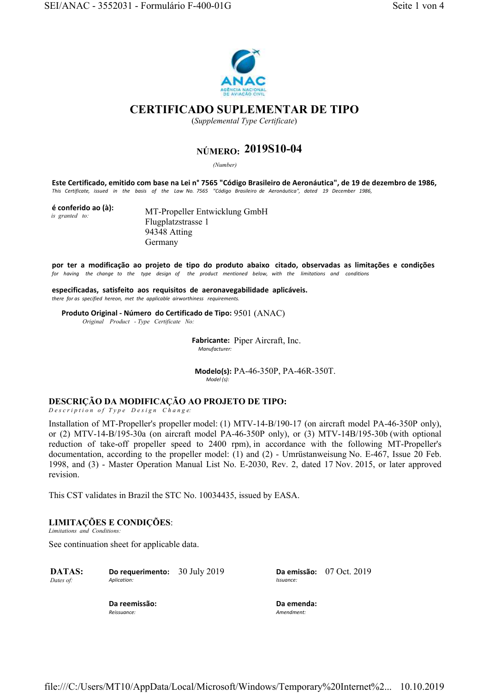

## **CERTIFICADO SUPLEMENTAR DE TIPO**

(*Supplemental Type Certificate*)

# **NÚMERO: 2019S10-04**

*(Number)* 

**Este Certificado, emitido com base na Lei n° 7565 "Código Brasileiro de Aeronáutica", de 19 de dezembro de 1986,** *This Certificate, issued in the basis of the Law No. 7565 "Código Brasileiro de Aeronáutica", dated 19 December 1986,* 

| é conferido ao (à): |  |  |
|---------------------|--|--|
| is granted to:      |  |  |

**MT-Propeller Entwicklung GmbH** Flugplatzstrasse 1 94348 Atting Germany

**por ter a modificação ao projeto de tipo do produto abaixo citado, observadas as limitações e condições**  *for having the change to the type design of the product mentioned below, with the limitations and conditions* 

**especificadas, satisfeito aos requisitos de aeronavegabilidade aplicáveis.** *there for as specified hereon, met the applicable airworthiness requirements.*

**Produto Original Número do Certificado de Tipo:** 9501 (ANAC)  *Original Product - Type Certificate No:*

> **Fabricante:**  Piper Aircraft, Inc. *Manufacturer:*

**Modelo(s):** PA-46-350P, PA-46R-350T. *Model (s):* 

## **DESCRIÇÃO DA MODIFICAÇÃO AO PROJETO DE TIPO:**

*D e s c r i p t i o n o f T y p e D e s i g n C h a n g e:*

Installation of MT-Propeller's propeller model: (1) MTV-14-B/190-17 (on aircraft model PA-46-350P only), or (2) MTV-14-B/195-30a (on aircraft model PA-46-350P only), or (3) MTV-14B/195-30b (with optional reduction of take-off propeller speed to 2400 rpm), in accordance with the following MT-Propeller's documentation, according to the propeller model: (1) and (2) - Umrüstanweisung No. E-467, Issue 20 Feb. 1998, and (3) - Master Operation Manual List No. E-2030, Rev. 2, dated 17 Nov. 2015, or later approved revision.

This CST validates in Brazil the STC No. 10034435, issued by EASA.

## **LIMITAÇÕES E CONDIÇÕES**:

*Limitations and Conditions:*

See continuation sheet for applicable data.

| <b>DATAS:</b> | Do requerimento: | 30 July 2019 |
|---------------|------------------|--------------|
| Dates of:     | Aplication:      |              |

30 July 2019 **Da emissão:** 07 Oct. 2019 *Issuance:*

**Da reemissão:** *Reissuance:*

**Da emenda:** *Amendment:*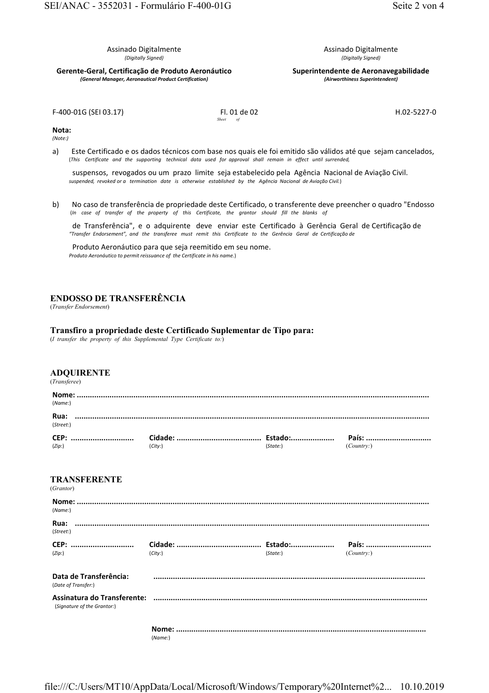Assinado Digitalmente *(Digitally Signed)*

**GerenteGeral, Certificação de Produto Aeronáutico** *(General Manager, Aeronautical Product Certification)*

Assinado Digitalmente *(Digitally Signed)*

**Superintendente de Aeronavegabilidade** *(Airworthiness Superintendent)*

F-400-01G (SEI 03.17) FI. 01 de 02 *Sheet* 

H.02-5227-0

**Nota:**

*(Note:)*

a) Este Certificado e os dados técnicos com base nos quais ele foi emitido são válidos até que sejam cancelados, (*This Certificate and the supporting technical data used for approval shall remain in effect until surrended,*

suspensos, revogados ou um prazo limite seja estabelecido pela Agência Nacional de Aviação Civil.  *suspended, revoked or a termination date is otherwise established by the Agência Nacional de Aviação Civil.*)

b) No caso de transferência de propriedade deste Certificado, o transferente deve preencher o quadro "Endosso (*In case of transfer of the property of this Certificate, the grantor should fill the blanks of* 

de Transferência", e o adquirente deve enviar este Certificado à Gerência Geral de Certificação de *"Transfer Endorsement", and the transferee must remit this Certificate to the Gerência Geral de Certificação de* 

Produto Aeronáutico para que seja reemitido em seu nome.  *Produto Aeronáutico to permit reissuance of the Certificate in his name.*)

## **ENDOSSO DE TRANSFERÊNCIA**

(*Transfer Endorsement*)

#### **Transfiro a propriedade deste Certificado Suplementar de Tipo para:**

(*I transfer the property of this Supplemental Type Certificate to:*)

### **ADQUIRENTE**

(*Transferee*)

| (Name)                           |        |          |           |
|----------------------------------|--------|----------|-----------|
| Rua:<br>(Street:)                |        |          |           |
| (Zip)                            | (City) | (State.) | (Country) |
| <b>TRANSFERENTE</b><br>(Grantor) |        |          |           |
| (Name:)                          |        |          |           |
| Rua:<br>(Street:)                |        |          |           |
| (Zip)                            | (City) | (State:) | (Country) |

| Data de Transferência:<br>(Date of Transfer:)              |  |
|------------------------------------------------------------|--|
| Assinatura do Transferente:<br>(Signature of the Grantor:) |  |

**Nome: ...................................................................................................................** (*Name:*)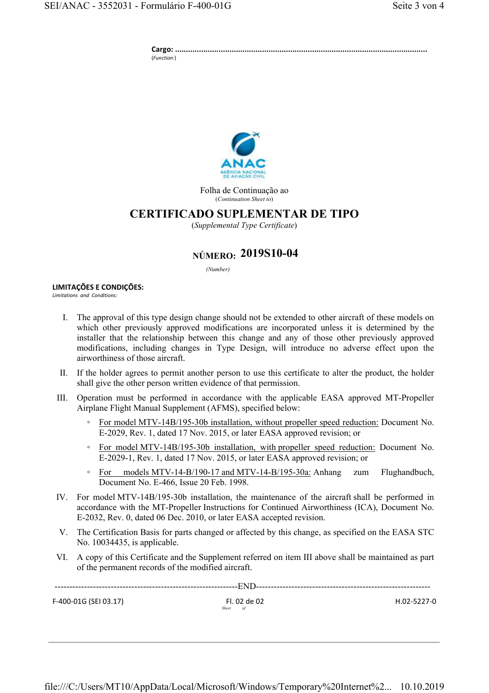**Cargo: ....................................................................................................................** (*Function:*)



Folha de Continuação ao (*Continuation Sheet to*)

## **CERTIFICADO SUPLEMENTAR DE TIPO**

(*Supplemental Type Certificate*)

# **NÚMERO: 2019S10-04**

*(Number)* 

## **LIMITAÇÕES E CONDIÇÕES:**

*Limitations and Conditions:*

- I. The approval of this type design change should not be extended to other aircraft of these models on which other previously approved modifications are incorporated unless it is determined by the installer that the relationship between this change and any of those other previously approved modifications, including changes in Type Design, will introduce no adverse effect upon the airworthiness of those aircraft.
- II. If the holder agrees to permit another person to use this certificate to alter the product, the holder shall give the other person written evidence of that permission.
- III. Operation must be performed in accordance with the applicable EASA approved MT-Propeller Airplane Flight Manual Supplement (AFMS), specified below:
	- For model MTV-14B/195-30b installation, without propeller speed reduction: Document No. E-2029, Rev. 1, dated 17 Nov. 2015, or later EASA approved revision; or
	- For model MTV-14B/195-30b installation, with propeller speed reduction: Document No. E-2029-1, Rev. 1, dated 17 Nov. 2015, or later EASA approved revision; or
	- For models MTV-14-B/190-17 and MTV-14-B/195-30a: Anhang zum Flughandbuch, Document No. E-466, Issue 20 Feb. 1998.
- IV. For model MTV-14B/195-30b installation, the maintenance of the aircraft shall be performed in accordance with the MT-Propeller Instructions for Continued Airworthiness (ICA), Document No. E-2032, Rev. 0, dated 06 Dec. 2010, or later EASA accepted revision.
- V. The Certification Basis for parts changed or affected by this change, as specified on the EASA STC No. 10034435, is applicable.
- VI. A copy of this Certificate and the Supplement referred on item III above shall be maintained as part of the permanent records of the modified aircraft.

--------------------------------------------------------------END----------------------------------------------------------- F-400-01G (SEI 03.17) Fl. 02 de 02  *Sheet of*  $H.02 - 5227 - 0$